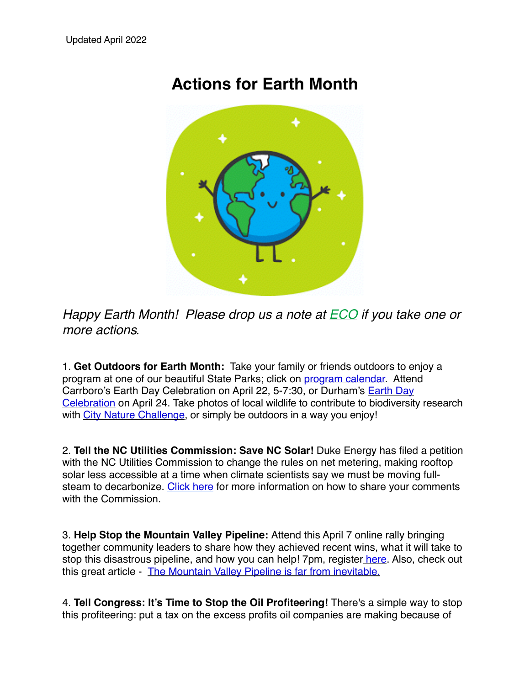## **Actions for Earth Month**



*Happy Earth Month! Please drop us a note at [ECO](mailto:eco@c3huu.org?subject=ECO%20Earth%20Actions) if you take one or more actions.* 

1. **Get Outdoors for Earth Month:** Take your family or friends outdoors to enjoy a program at one of our beautiful State Parks; click on [program calendar.](https://www.ncparks.gov/earth-day-events) Attend Carrboro's Earth Day Celebration on April 22, 5-7:30, or Durham's Earth Day [Celebration on April 24. Take photos of local wildlife to contribute to biodiversity](https://www.dprplaymore.org/299/Earth-Day-Celebration) research with [City Nature Challenge,](https://citynaturechallenge.org/) or simply be outdoors in a way you enjoy!

2. **Tell the NC Utilities Commission: Save NC Solar!** Duke Energy has filed a petition with the NC Utilities Commission to change the rules on net metering, making rooftop solar less accessible at a time when climate scientists say we must be moving full-steam to decarbonize. [Click here](https://u1584542.ct.sendgrid.net/ss/c/atcYNHk4Eh2YdGnwBh-YDOUj3KbzMKcmS_8ZBDeTORlHec-fSow6mwQG7CItl5Hb5B_fddKMc1-I4S07l06NA_JOC3PP0GV_1VLtwA0UFXwMlzaQAlUlMJY-lDD8AHFF3cEi6OIJQ8OFpgerLxie5mbDvrtTOz5G4XOyC16j_aSaySxeS8xoQa2Dkjlaoqymm4g44_OwMm0NgIUlOLT685XhI_xniD3ZYMRN7kAM_81hiIkpczJ98bvFIQ3iDr90bQn1xkq_8WJryh4o-UZ7yd6BqDFNwClmRwZBUTjlzR5uz5Y57zWXwu_2MXfg3Wsu7YXwZ1QWug1cDFxHW1oZMP4HMj0okb1EqBD8Fs81dz3j-grlmbCw_2E2V9IwM5qbkliFsDNsMcyKRiU0kVOIRw/3kl/ZaI03LuXTSavxwm8FoQCKQ/h20/6cu3Pg0BB9C-2yAboRagXgUKFGufvZZSfheZQVEO7PA) for more information on how to share your comments with the Commission.

3. **Help Stop the Mountain Valley Pipeline:** Attend this April 7 online rally bringing together community leaders to share how they achieved recent wins, what it will take to stop this disastrous pipeline, and how you can help! 7pm, register [here.](https://u1584542.ct.sendgrid.net/ss/c/mRNLFKyANPYkYXuUTzk_S5xoyNsNh-XkPh8z7sutEzfMuL_2yARqJtlH4DIoolSoUiyyTV1JhwbWRNZWzkk7gahCXUNM1gAs840y2LCAhjwf3wFym3N5FCGAEjX0v7hrlriwsScbefVqtMhrkloYfY1K-9ZPbeHcs29f3kb0w8EZmRdJwk68kiB8NgUTaUvpILSaihdRRiakF3yVYGqfoTzGHk4U5Fkxwqoz-m9-g_INnZ2DJXvfdHP9AltFheW09DWTe0-mzWNa7_dK6LL7H4vDKlfLwxtUbjUbSENaN1Ai2zLyMXpqd0PQwP6Q6CcfNanjOSSDZAq2N05qTN-qhOCN1obsS7PJKFxH9NHGjHttBrzODaWsuMd0h2RmO6qDLY0HsVUk2QLjb0rE0PVftIlC2n_hm22tHGdt1CA0ctY/3kl/ZaI03LuXTSavxwm8FoQCKQ/h10/Gvfz4tNAPQwEwww-8Hy8MA3wIympt0rEgmtw4noXRZU) Also, check out this great article - [The Mountain Valley Pipeline is far from inevitable.](https://u1584542.ct.sendgrid.net/ss/c/P8Elou2Rvc0qoMPEUZrMXe4douC3tgBC8Z9ep0H3FC23BM5MGKzJqGLu1oRK0-EBUrJX7SbdFGNIGKcO9wYQEUlQlCj6filzXn4NbNh96rQvcbyCIH0VMBgmB9mnnBNGQgSoxn9Zbdugb-z0OgiGGuYU7HgvEV6j35fADRQSWnCUtbzdrg09LCsM06oUciW6tMwsChZiwv29iN2AH_LtAwBBVhuwg_AVrHTcMKhmiuHiI-kLIECemWfdcWDGUWlIuSHAR1d8w-iondSZYIPQwYTClvu_uBTEIaXecZ_Pwc41ji2Am9QRJo0R-lzU0xeAkyLOVtH-s30-0KIXP-KeYM2n3HnEw2oaAw9UrvKuvqTyVkoqss903ng1K211wTYcxTaqQNfLD34fO5rCn5PAZg/3kl/ZaI03LuXTSavxwm8FoQCKQ/h11/vqVQVliS3gCy5rzvDYL_XehS5FipVnXCxDCGlxsBxEc)

4. **Tell Congress: It's Time to Stop the Oil Profiteering!** There's a simple way to stop this profiteering: put a tax on the excess profits oil companies are making because of